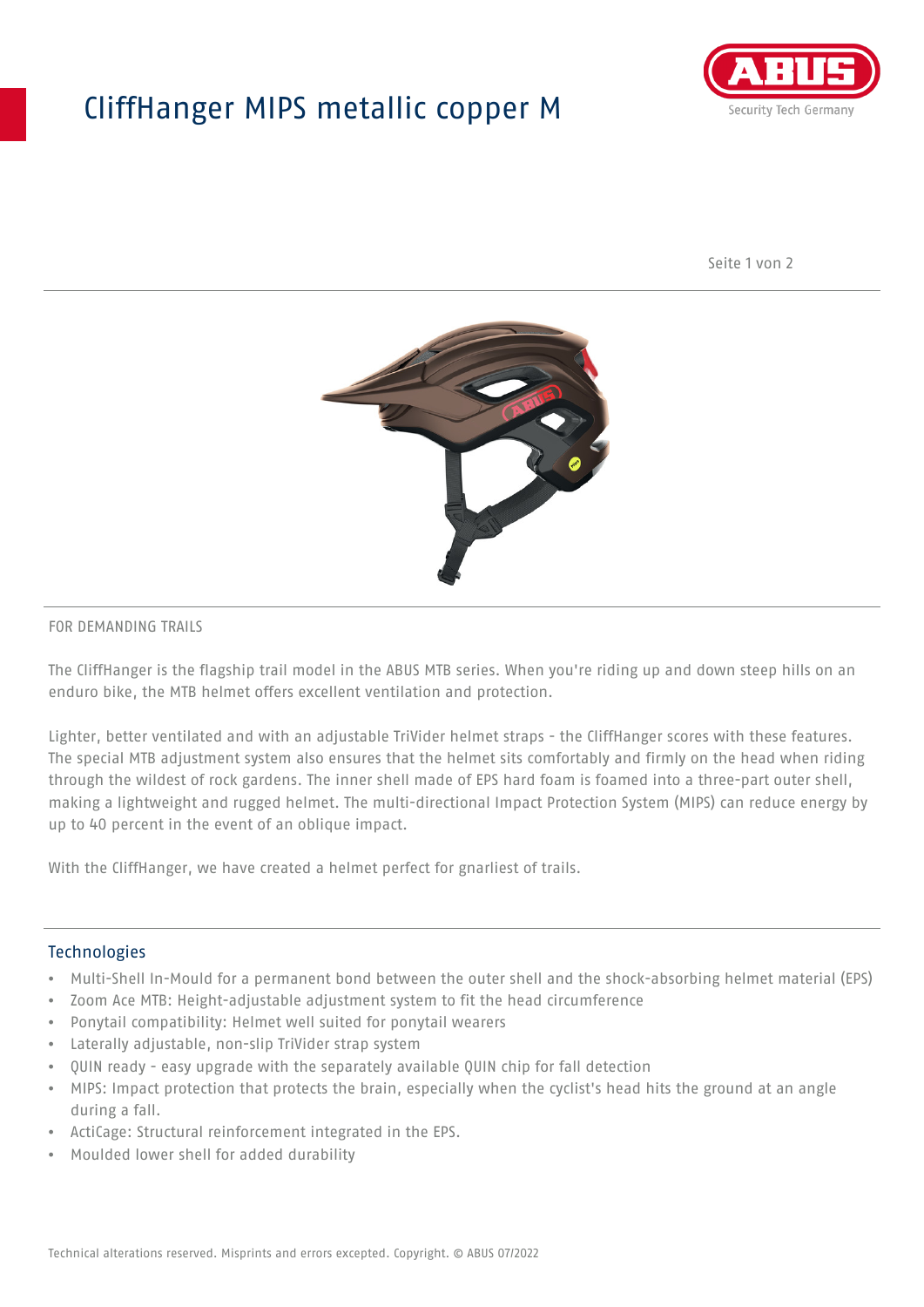## CliffHanger MIPS metallic copper M



Seite 1 von 2



#### FOR DEMANDING TRAILS

The CliffHanger is the flagship trail model in the ABUS MTB series. When you're riding up and down steep hills on an enduro bike, the MTB helmet offers excellent ventilation and protection.

Lighter, better ventilated and with an adjustable TriVider helmet straps - the CliffHanger scores with these features. The special MTB adjustment system also ensures that the helmet sits comfortably and firmly on the head when riding through the wildest of rock gardens. The inner shell made of EPS hard foam is foamed into a three-part outer shell, making a lightweight and rugged helmet. The multi-directional Impact Protection System (MIPS) can reduce energy by up to 40 percent in the event of an oblique impact.

With the CliffHanger, we have created a helmet perfect for gnarliest of trails.

#### Technologies

- Multi-Shell In-Mould for a permanent bond between the outer shell and the shock-absorbing helmet material (EPS)
- Zoom Ace MTB: Height-adjustable adjustment system to fit the head circumference
- Ponytail compatibility: Helmet well suited for ponytail wearers
- Laterally adjustable, non-slip TriVider strap system
- QUIN ready easy upgrade with the separately available QUIN chip for fall detection
- MIPS: Impact protection that protects the brain, especially when the cyclist's head hits the ground at an angle during a fall.
- ActiCage: Structural reinforcement integrated in the EPS.
- Moulded lower shell for added durability